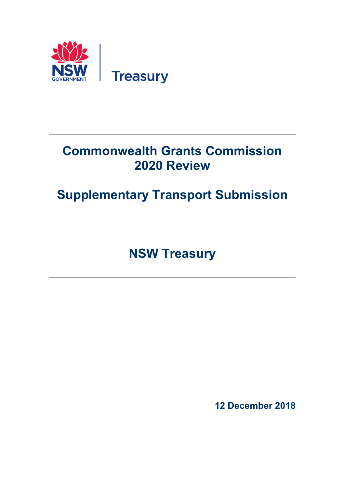

# **Commonwealth Grants Commission 2020 Review**

# **Supplementary Transport Submission**

**NSW Treasury** 

**12 December 2018**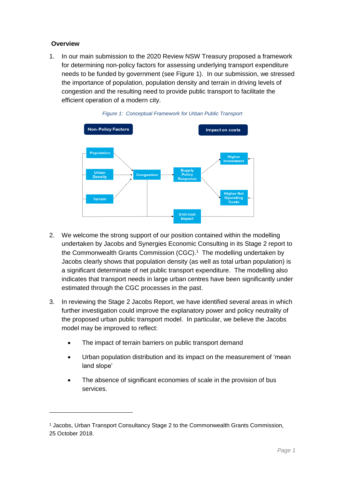#### **Overview**

1

1. In our main submission to the 2020 Review NSW Treasury proposed a framework for determining non-policy factors for assessing underlying transport expenditure needs to be funded by government (see Figure 1). In our submission, we stressed the importance of population, population density and terrain in driving levels of congestion and the resulting need to provide public transport to facilitate the efficient operation of a modern city.





- 2. We welcome the strong support of our position contained within the modelling undertaken by Jacobs and Synergies Economic Consulting in its Stage 2 report to the Commonwealth Grants Commission (CGC). 1 The modelling undertaken by Jacobs clearly shows that population density (as well as total urban population) is a significant determinate of net public transport expenditure. The modelling also indicates that transport needs in large urban centres have been significantly under estimated through the CGC processes in the past.
- 3. In reviewing the Stage 2 Jacobs Report, we have identified several areas in which further investigation could improve the explanatory power and policy neutrality of the proposed urban public transport model. In particular, we believe the Jacobs model may be improved to reflect:
	- The impact of terrain barriers on public transport demand
	- Urban population distribution and its impact on the measurement of 'mean land slope'
	- The absence of significant economies of scale in the provision of bus services.

<sup>1</sup> Jacobs, Urban Transport Consultancy Stage 2 to the Commonwealth Grants Commission, 25 October 2018.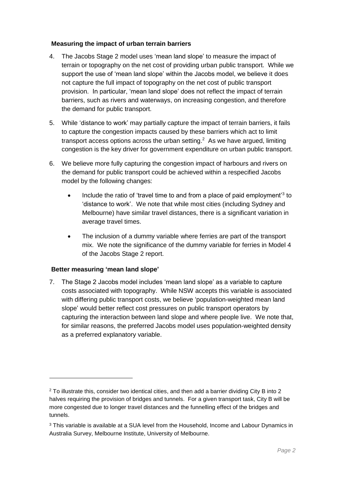#### **Measuring the impact of urban terrain barriers**

- 4. The Jacobs Stage 2 model uses 'mean land slope' to measure the impact of terrain or topography on the net cost of providing urban public transport. While we support the use of 'mean land slope' within the Jacobs model, we believe it does not capture the full impact of topography on the net cost of public transport provision. In particular, 'mean land slope' does not reflect the impact of terrain barriers, such as rivers and waterways, on increasing congestion, and therefore the demand for public transport.
- 5. While 'distance to work' may partially capture the impact of terrain barriers, it fails to capture the congestion impacts caused by these barriers which act to limit transport access options across the urban setting. $<sup>2</sup>$  As we have argued, limiting</sup> congestion is the key driver for government expenditure on urban public transport.
- 6. We believe more fully capturing the congestion impact of harbours and rivers on the demand for public transport could be achieved within a respecified Jacobs model by the following changes:
	- Include the ratio of 'travel time to and from a place of paid employment<sup>3</sup> to 'distance to work'. We note that while most cities (including Sydney and Melbourne) have similar travel distances, there is a significant variation in average travel times.
	- The inclusion of a dummy variable where ferries are part of the transport mix. We note the significance of the dummy variable for ferries in Model 4 of the Jacobs Stage 2 report.

## **Better measuring 'mean land slope'**

1

7. The Stage 2 Jacobs model includes 'mean land slope' as a variable to capture costs associated with topography. While NSW accepts this variable is associated with differing public transport costs, we believe 'population-weighted mean land slope' would better reflect cost pressures on public transport operators by capturing the interaction between land slope and where people live. We note that, for similar reasons, the preferred Jacobs model uses population-weighted density as a preferred explanatory variable.

<sup>2</sup> To illustrate this, consider two identical cities, and then add a barrier dividing City B into 2 halves requiring the provision of bridges and tunnels. For a given transport task, City B will be more congested due to longer travel distances and the funnelling effect of the bridges and tunnels.

<sup>&</sup>lt;sup>3</sup> This variable is available at a SUA level from the Household, Income and Labour Dynamics in Australia Survey, Melbourne Institute, University of Melbourne.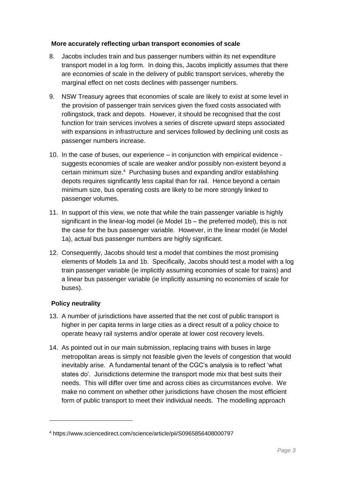#### **More accurately reflecting urban transport economies of scale**

- 8. Jacobs includes train and bus passenger numbers within its net expenditure transport model in a log form. In doing this, Jacobs implicitly assumes that there are economies of scale in the delivery of public transport services, whereby the marginal effect on net costs declines with passenger numbers.
- 9. NSW Treasury agrees that economies of scale are likely to exist at some level in the provision of passenger train services given the fixed costs associated with rollingstock, track and depots. However, it should be recognised that the cost function for train services involves a series of discrete upward steps associated with expansions in infrastructure and services followed by declining unit costs as passenger numbers increase.
- 10. In the case of buses, our experience in conjunction with empirical evidence suggests economies of scale are weaker and/or possibly non-existent beyond a certain minimum size.<sup>4</sup> Purchasing buses and expanding and/or establishing depots requires significantly less capital than for rail. Hence beyond a certain minimum size, bus operating costs are likely to be more strongly linked to passenger volumes.
- 11. In support of this view, we note that while the train passenger variable is highly significant in the linear-log model (ie Model 1b – the preferred model), this is not the case for the bus passenger variable. However, in the linear model (ie Model 1a), actual bus passenger numbers are highly significant.
- 12. Consequently, Jacobs should test a model that combines the most promising elements of Models 1a and 1b. Specifically, Jacobs should test a model with a log train passenger variable (ie implicitly assuming economies of scale for trains) and a linear bus passenger variable (ie implicitly assuming no economies of scale for buses).

# **Policy neutrality**

1

- 13. A number of jurisdictions have asserted that the net cost of public transport is higher in per capita terms in large cities as a direct result of a policy choice to operate heavy rail systems and/or operate at lower cost recovery levels.
- 14. As pointed out in our main submission, replacing trains with buses in large metropolitan areas is simply not feasible given the levels of congestion that would inevitably arise. A fundamental tenant of the CGC's analysis is to reflect 'what states do'. Jurisdictions determine the transport mode mix that best suits their needs. This will differ over time and across cities as circumstances evolve. We make no comment on whether other jurisdictions have chosen the most efficient form of public transport to meet their individual needs. The modelling approach

<sup>4</sup> https://www.sciencedirect.com/science/article/pii/S0965856408000797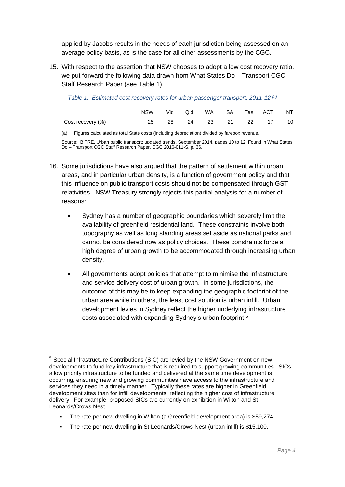applied by Jacobs results in the needs of each jurisdiction being assessed on an average policy basis, as is the case for all other assessments by the CGC.

15. With respect to the assertion that NSW chooses to adopt a low cost recovery ratio, we put forward the following data drawn from What States Do – Transport CGC Staff Research Paper (see Table 1).

|                   | <b>NSW</b> | Vic | Qld | WA. | SA | Tas | ACT | NT |
|-------------------|------------|-----|-----|-----|----|-----|-----|----|
| Cost recovery (%) |            | 28  | 24  | 23  | 21 | 22  |     |    |

*Table 1: Estimated cost recovery rates for urban passenger transport, 2011-12 (a)*

(a) Figures calculated as total State costs (including depreciation) divided by farebox revenue.

Source: BITRE, Urban public transport: updated trends, September 2014, pages 10 to 12. Found in What States Do – Transport CGC Staff Research Paper, CGC 2016-011-S, p. 36.

- 16. Some jurisdictions have also argued that the pattern of settlement within urban areas, and in particular urban density, is a function of government policy and that this influence on public transport costs should not be compensated through GST relativities. NSW Treasury strongly rejects this partial analysis for a number of reasons:
	- Sydney has a number of geographic boundaries which severely limit the availability of greenfield residential land. These constraints involve both topography as well as long standing areas set aside as national parks and cannot be considered now as policy choices. These constraints force a high degree of urban growth to be accommodated through increasing urban density.
	- All governments adopt policies that attempt to minimise the infrastructure and service delivery cost of urban growth. In some jurisdictions, the outcome of this may be to keep expanding the geographic footprint of the urban area while in others, the least cost solution is urban infill. Urban development levies in Sydney reflect the higher underlying infrastructure costs associated with expanding Sydney's urban footprint. 5

1

- The rate per new dwelling in Wilton (a Greenfield development area) is \$59,274.
- The rate per new dwelling in St Leonards/Crows Nest (urban infill) is \$15,100.

<sup>5</sup> Special Infrastructure Contributions (SIC) are levied by the NSW Government on new developments to fund key infrastructure that is required to support growing communities. SICs allow priority infrastructure to be funded and delivered at the same time development is occurring, ensuring new and growing communities have access to the infrastructure and services they need in a timely manner. Typically these rates are higher in Greenfield development sites than for infill developments, reflecting the higher cost of infrastructure delivery. For example, proposed SICs are currently on exhibition in Wilton and St Leonards/Crows Nest.